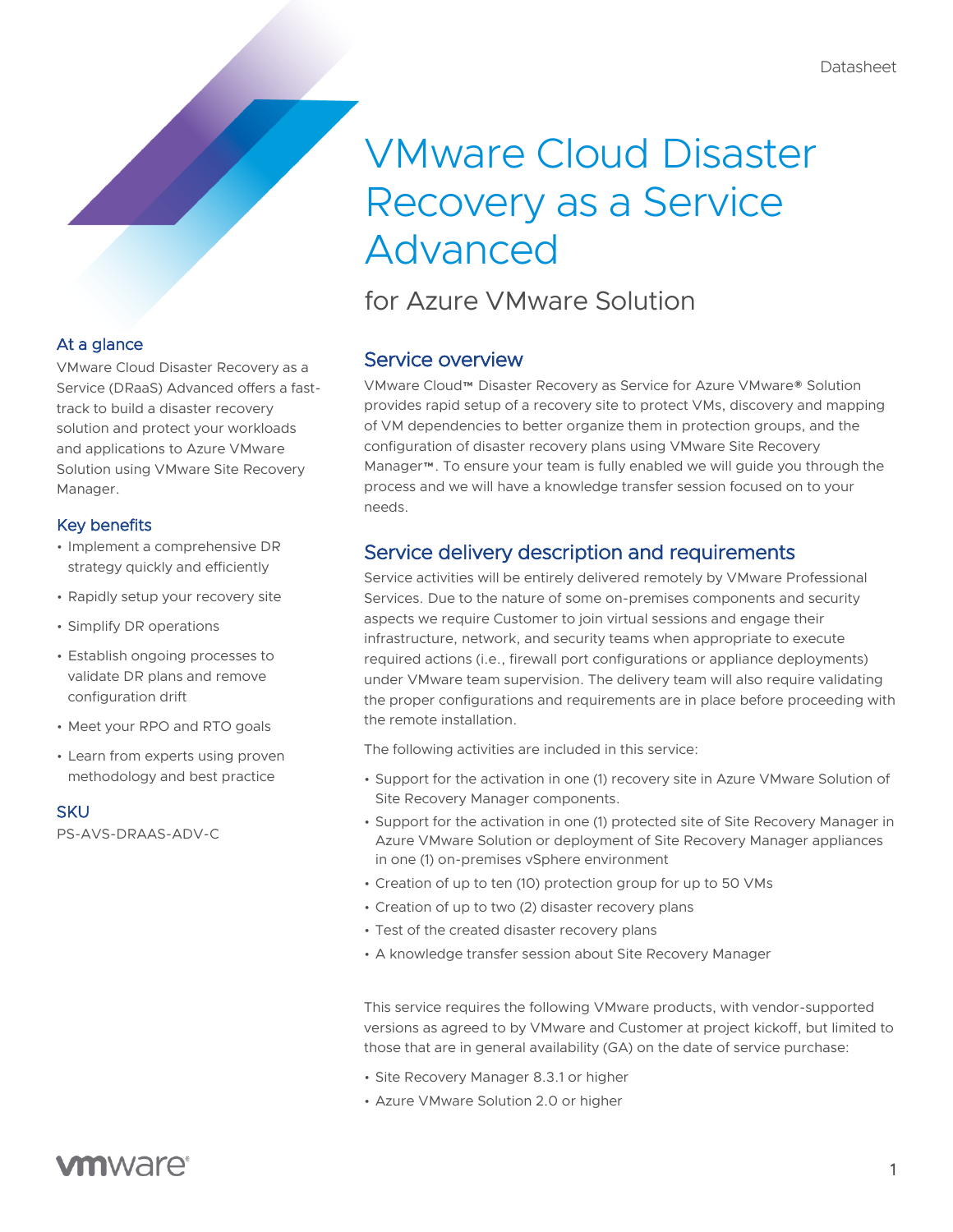# VMware Cloud Disaster Recovery as a Service Advanced

for Azure VMware Solution

## Service overview

VMware Cloud™ Disaster Recovery as Service for Azure VMware® Solution provides rapid setup of a recovery site to protect VMs, discovery and mapping of VM dependencies to better organize them in protection groups, and the configuration of disaster recovery plans using VMware Site Recovery Manager™. To ensure your team is fully enabled we will guide you through the process and we will have a knowledge transfer session focused on to your needs.

# Service delivery description and requirements

Service activities will be entirely delivered remotely by VMware Professional Services. Due to the nature of some on-premises components and security aspects we require Customer to join virtual sessions and engage their infrastructure, network, and security teams when appropriate to execute required actions (i.e., firewall port configurations or appliance deployments) under VMware team supervision. The delivery team will also require validating the proper configurations and requirements are in place before proceeding with the remote installation.

The following activities are included in this service:

- Support for the activation in one (1) recovery site in Azure VMware Solution of Site Recovery Manager components.
- Support for the activation in one (1) protected site of Site Recovery Manager in Azure VMware Solution or deployment of Site Recovery Manager appliances in one (1) on-premises vSphere environment
- Creation of up to ten (10) protection group for up to 50 VMs
- Creation of up to two (2) disaster recovery plans
- Test of the created disaster recovery plans
- A knowledge transfer session about Site Recovery Manager

This service requires the following VMware products, with vendor-supported versions as agreed to by VMware and Customer at project kickoff, but limited to those that are in general availability (GA) on the date of service purchase:

- Site Recovery Manager 8.3.1 or higher
- Azure VMware Solution 2.0 or higher

## At a glance

VMware Cloud Disaster Recovery as a Service (DRaaS) Advanced offers a fasttrack to build a disaster recovery solution and protect your workloads and applications to Azure VMware Solution using VMware Site Recovery Manager.

### Key benefits

- Implement a comprehensive DR strategy quickly and efficiently
- Rapidly setup your recovery site
- Simplify DR operations
- Establish ongoing processes to validate DR plans and remove configuration drift
- Meet your RPO and RTO goals
- Learn from experts using proven methodology and best practice

**SKU** 

PS-AVS-DRAAS-ADV-C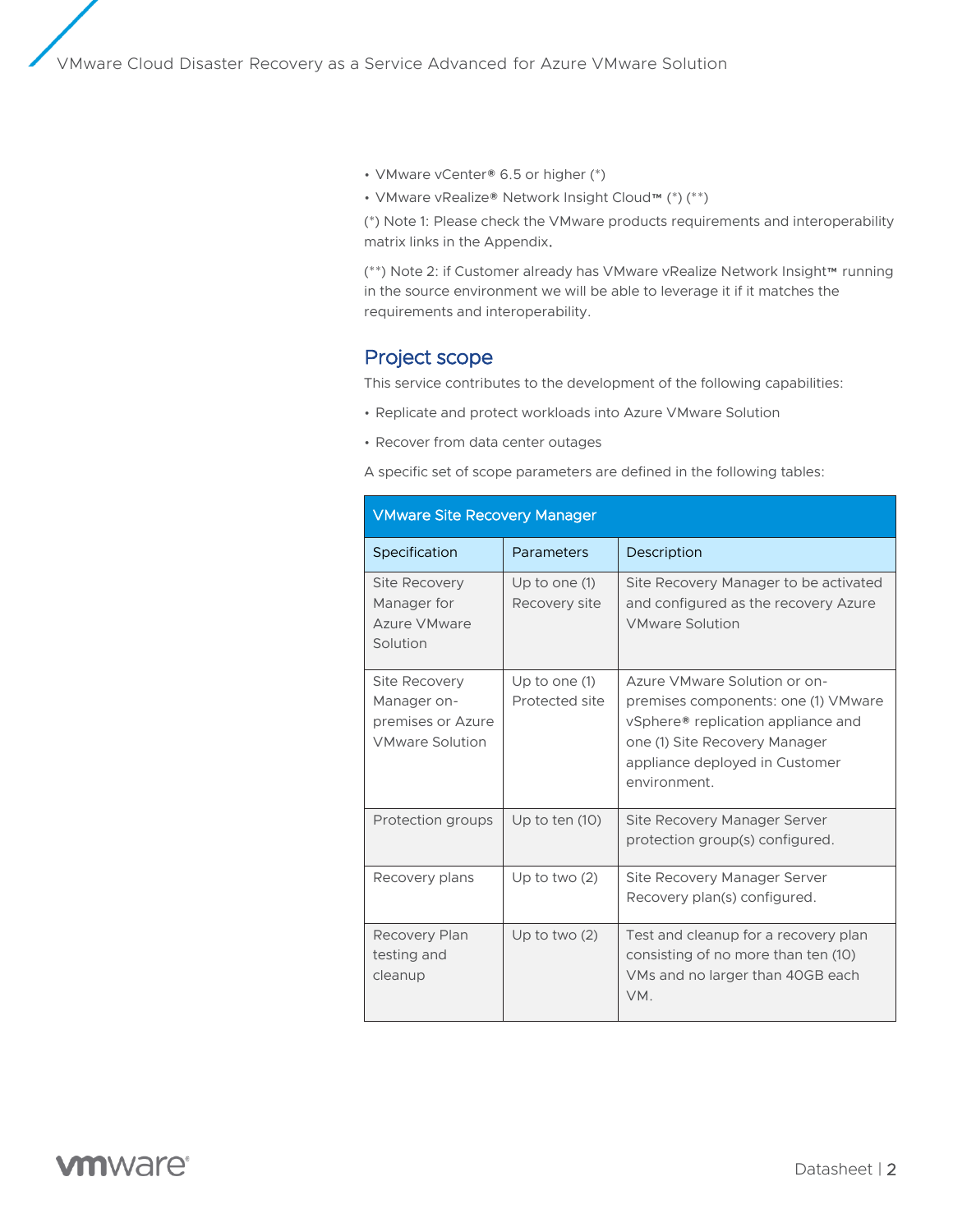• VMware vCenter® 6.5 or higher (\*)

• VMware vRealize® Network Insight Cloud™ (\*) (\*\*)

(\*) Note 1: Please check the VMware products requirements and interoperability matrix links in the Appendix.

(\*\*) Note 2: if Customer already has VMware vRealize Network Insight™ running in the source environment we will be able to leverage it if it matches the requirements and interoperability.

### Project scope

This service contributes to the development of the following capabilities:

- Replicate and protect workloads into Azure VMware Solution
- Recover from data center outages

A specific set of scope parameters are defined in the following tables:

| <b>VMware Site Recovery Manager</b>                                         |                                   |                                                                                                                                                                                              |  |
|-----------------------------------------------------------------------------|-----------------------------------|----------------------------------------------------------------------------------------------------------------------------------------------------------------------------------------------|--|
| Specification                                                               | Parameters                        | Description                                                                                                                                                                                  |  |
| <b>Site Recovery</b><br>Manager for<br>Azure VMware<br>Solution             | Up to one $(1)$<br>Recovery site  | Site Recovery Manager to be activated<br>and configured as the recovery Azure<br><b>VMware Solution</b>                                                                                      |  |
| Site Recovery<br>Manager on-<br>premises or Azure<br><b>VMware Solution</b> | Up to one $(1)$<br>Protected site | Azure VMware Solution or on-<br>premises components: one (1) VMware<br>vSphere® replication appliance and<br>one (1) Site Recovery Manager<br>appliance deployed in Customer<br>environment. |  |
| Protection groups                                                           | Up to ten $(10)$                  | Site Recovery Manager Server<br>protection group(s) configured.                                                                                                                              |  |
| Recovery plans                                                              | Up to two $(2)$                   | Site Recovery Manager Server<br>Recovery plan(s) configured.                                                                                                                                 |  |
| Recovery Plan<br>testing and<br>cleanup                                     | Up to two $(2)$                   | Test and cleanup for a recovery plan<br>consisting of no more than ten (10)<br>VMs and no larger than 40GB each<br>VM.                                                                       |  |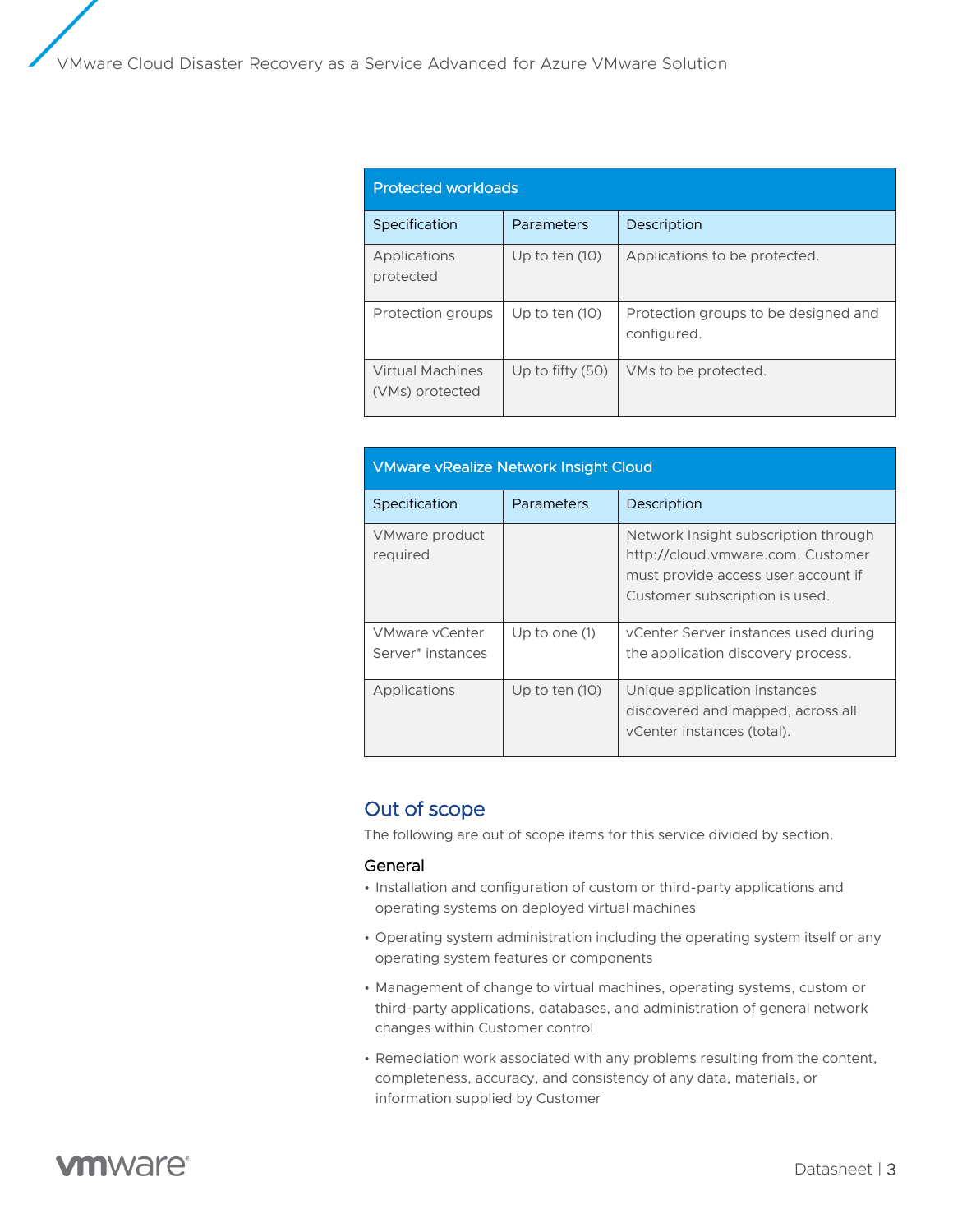| <b>Protected workloads</b>                 |                    |                                                     |  |
|--------------------------------------------|--------------------|-----------------------------------------------------|--|
| Specification                              | Parameters         | Description                                         |  |
| Applications<br>protected                  | Up to ten $(10)$   | Applications to be protected.                       |  |
| Protection groups                          | Up to ten $(10)$   | Protection groups to be designed and<br>configured. |  |
| <b>Virtual Machines</b><br>(VMs) protected | Up to fifty $(50)$ | VMs to be protected.                                |  |

| <b>VMware vRealize Network Insight Cloud</b>           |                  |                                                                                                                                                    |  |
|--------------------------------------------------------|------------------|----------------------------------------------------------------------------------------------------------------------------------------------------|--|
| Specification                                          | Parameters       | Description                                                                                                                                        |  |
| VMware product<br>required                             |                  | Network Insight subscription through<br>http://cloud.vmware.com. Customer<br>must provide access user account if<br>Customer subscription is used. |  |
| <b>VMware vCenter</b><br>Server <sup>®</sup> instances | Up to one $(1)$  | vCenter Server instances used during<br>the application discovery process.                                                                         |  |
| Applications                                           | Up to ten $(10)$ | Unique application instances<br>discovered and mapped, across all<br>vCenter instances (total).                                                    |  |

## Out of scope

The following are out of scope items for this service divided by section.

#### General

- Installation and configuration of custom or third-party applications and operating systems on deployed virtual machines
- Operating system administration including the operating system itself or any operating system features or components
- Management of change to virtual machines, operating systems, custom or third-party applications, databases, and administration of general network changes within Customer control
- Remediation work associated with any problems resulting from the content, completeness, accuracy, and consistency of any data, materials, or information supplied by Customer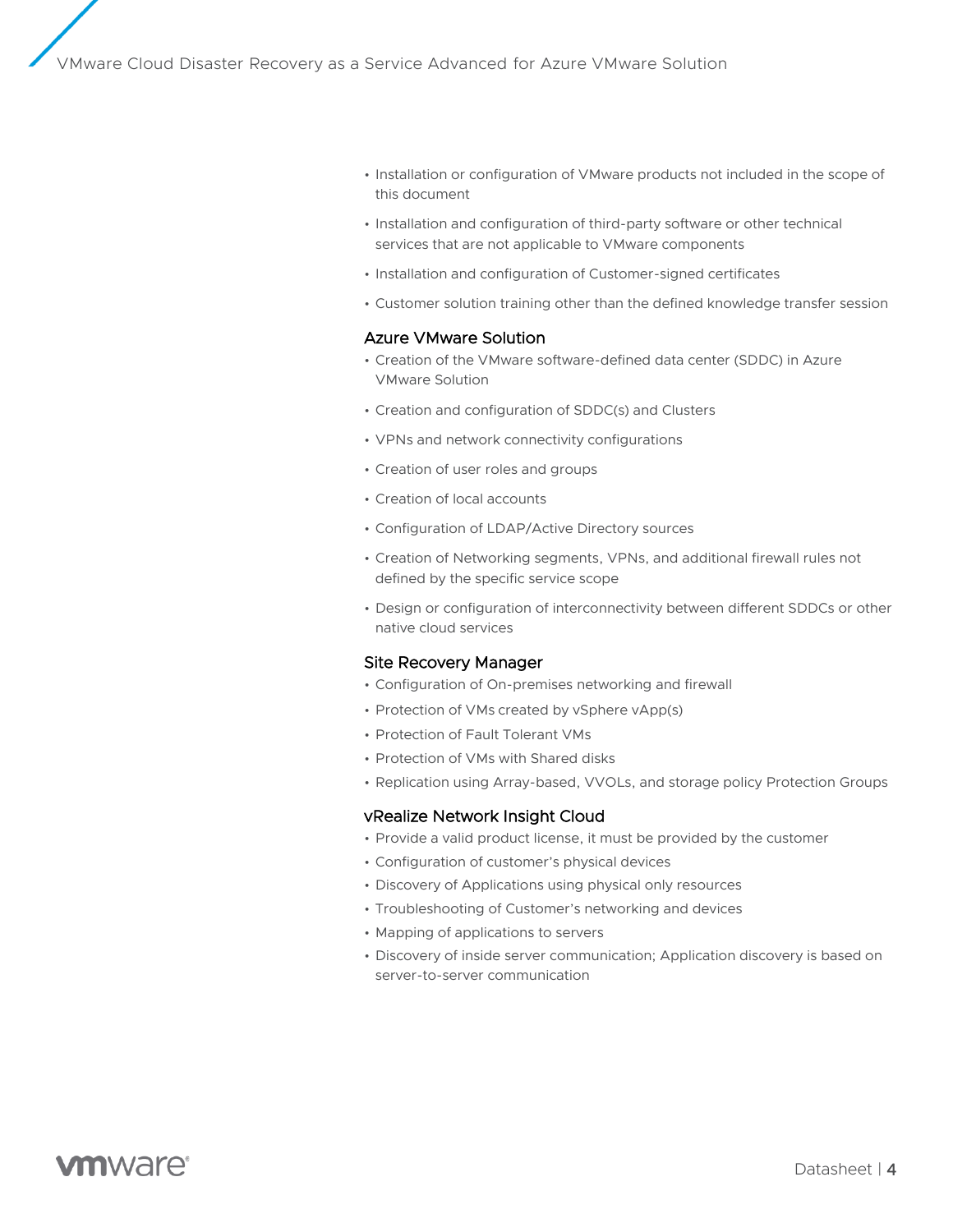- Installation or configuration of VMware products not included in the scope of this document
- Installation and configuration of third-party software or other technical services that are not applicable to VMware components
- Installation and configuration of Customer-signed certificates
- Customer solution training other than the defined knowledge transfer session

#### Azure VMware Solution

- Creation of the VMware software-defined data center (SDDC) in Azure VMware Solution
- Creation and configuration of SDDC(s) and Clusters
- VPNs and network connectivity configurations
- Creation of user roles and groups
- Creation of local accounts
- Configuration of LDAP/Active Directory sources
- Creation of Networking segments, VPNs, and additional firewall rules not defined by the specific service scope
- Design or configuration of interconnectivity between different SDDCs or other native cloud services

#### Site Recovery Manager

- Configuration of On-premises networking and firewall
- Protection of VMs created by vSphere vApp(s)
- Protection of Fault Tolerant VMs
- Protection of VMs with Shared disks
- Replication using Array-based, VVOLs, and storage policy Protection Groups

#### vRealize Network Insight Cloud

- Provide a valid product license, it must be provided by the customer
- Configuration of customer's physical devices
- Discovery of Applications using physical only resources
- Troubleshooting of Customer's networking and devices
- Mapping of applications to servers
- Discovery of inside server communication; Application discovery is based on server-to-server communication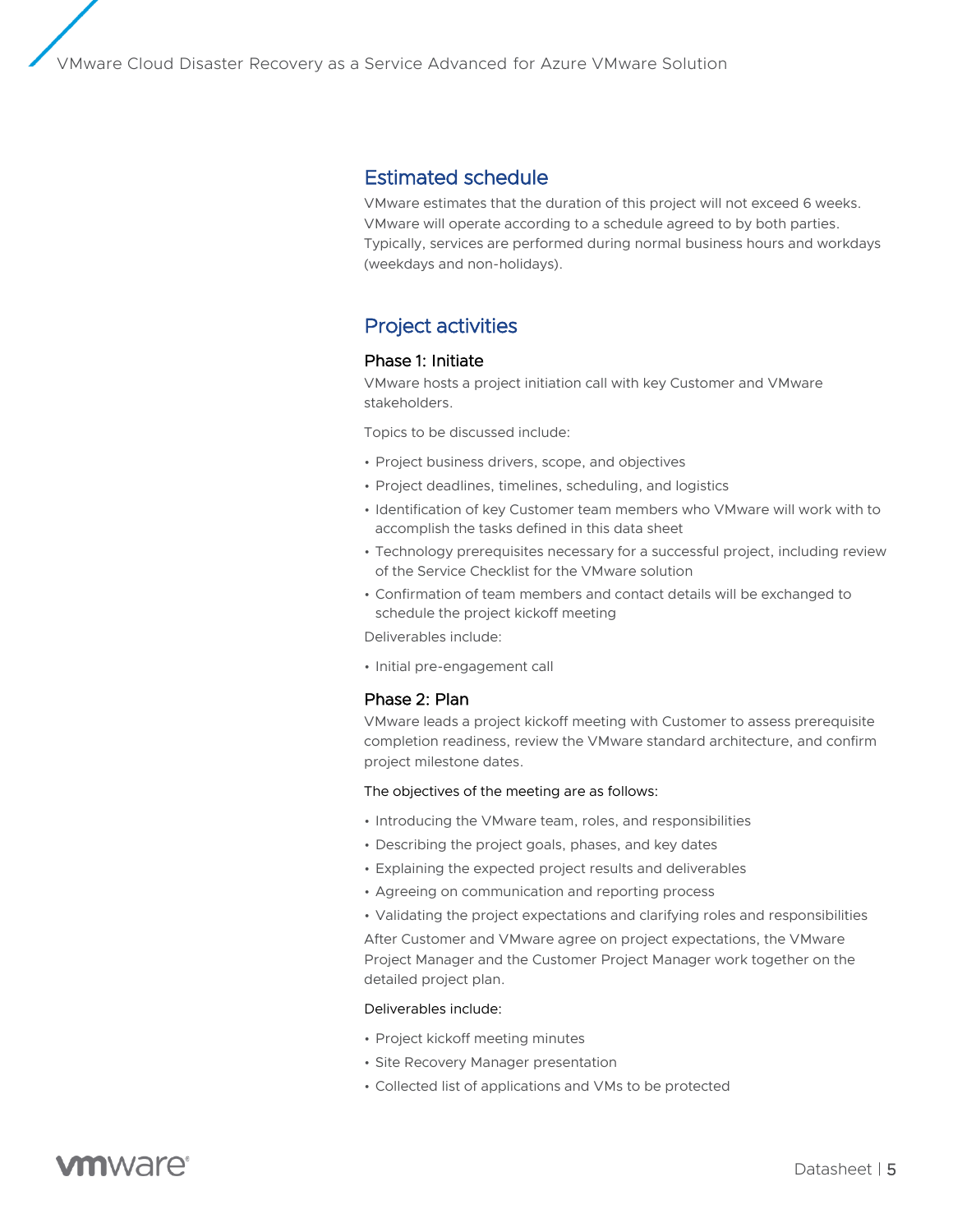### Estimated schedule

VMware estimates that the duration of this project will not exceed 6 weeks. VMware will operate according to a schedule agreed to by both parties. Typically, services are performed during normal business hours and workdays (weekdays and non-holidays).

# Project activities

#### Phase 1: Initiate

VMware hosts a project initiation call with key Customer and VMware stakeholders.

Topics to be discussed include:

- Project business drivers, scope, and objectives
- Project deadlines, timelines, scheduling, and logistics
- Identification of key Customer team members who VMware will work with to accomplish the tasks defined in this data sheet
- Technology prerequisites necessary for a successful project, including review of the Service Checklist for the VMware solution
- Confirmation of team members and contact details will be exchanged to schedule the project kickoff meeting

Deliverables include:

• Initial pre-engagement call

#### Phase 2: Plan

VMware leads a project kickoff meeting with Customer to assess prerequisite completion readiness, review the VMware standard architecture, and confirm project milestone dates.

#### The objectives of the meeting are as follows:

- Introducing the VMware team, roles, and responsibilities
- Describing the project goals, phases, and key dates
- Explaining the expected project results and deliverables
- Agreeing on communication and reporting process
- Validating the project expectations and clarifying roles and responsibilities

After Customer and VMware agree on project expectations, the VMware Project Manager and the Customer Project Manager work together on the detailed project plan.

#### Deliverables include:

- Project kickoff meeting minutes
- Site Recovery Manager presentation
- Collected list of applications and VMs to be protected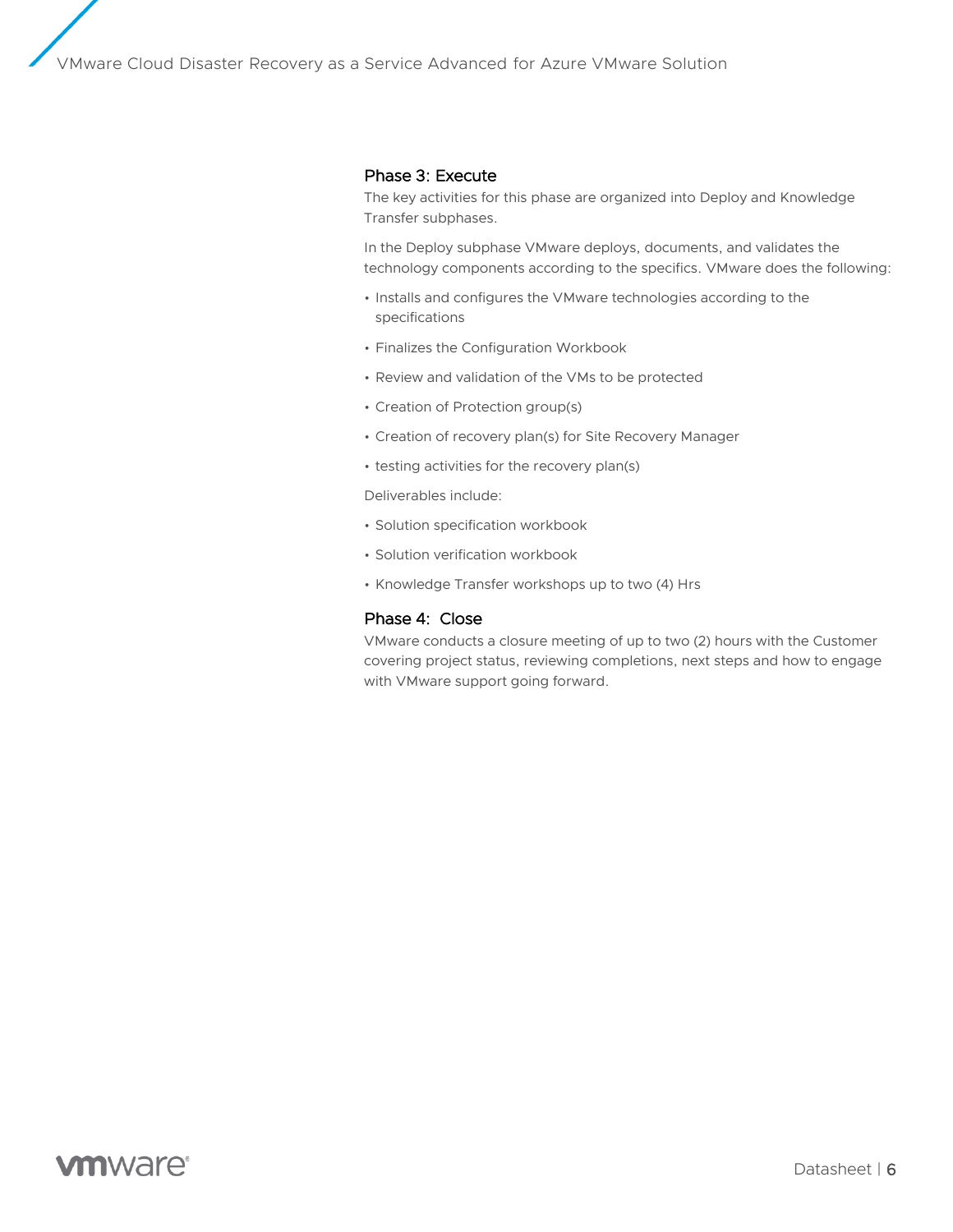#### Phase 3: Execute

The key activities for this phase are organized into Deploy and Knowledge Transfer subphases.

In the Deploy subphase VMware deploys, documents, and validates the technology components according to the specifics. VMware does the following:

- Installs and configures the VMware technologies according to the specifications
- Finalizes the Configuration Workbook
- Review and validation of the VMs to be protected
- Creation of Protection group(s)
- Creation of recovery plan(s) for Site Recovery Manager
- testing activities for the recovery plan(s)

Deliverables include:

- Solution specification workbook
- Solution verification workbook
- Knowledge Transfer workshops up to two (4) Hrs

#### Phase 4: Close

VMware conducts a closure meeting of up to two (2) hours with the Customer covering project status, reviewing completions, next steps and how to engage with VMware support going forward.